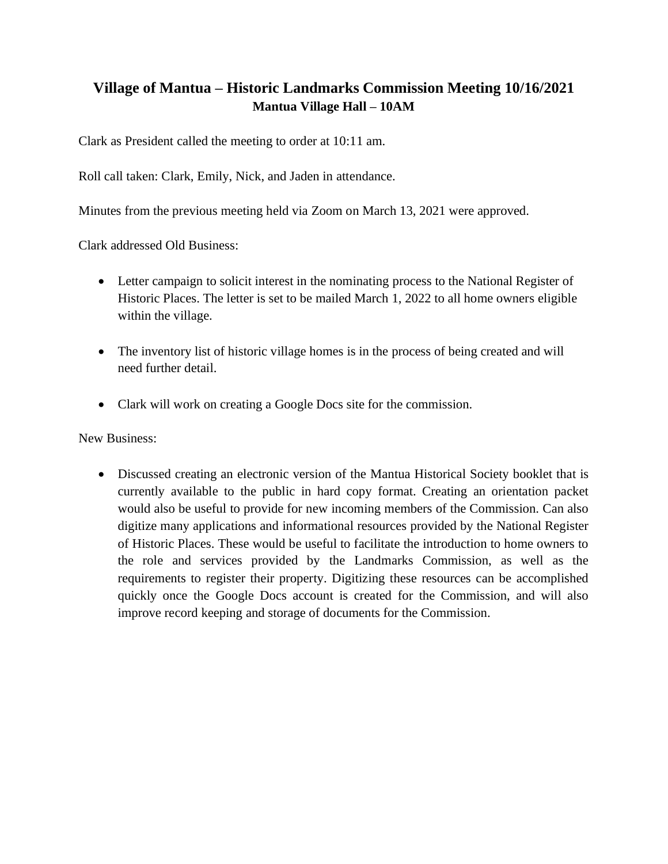## **Village of Mantua – Historic Landmarks Commission Meeting 10/16/2021 Mantua Village Hall – 10AM**

Clark as President called the meeting to order at 10:11 am.

Roll call taken: Clark, Emily, Nick, and Jaden in attendance.

Minutes from the previous meeting held via Zoom on March 13, 2021 were approved.

Clark addressed Old Business:

- Letter campaign to solicit interest in the nominating process to the National Register of Historic Places. The letter is set to be mailed March 1, 2022 to all home owners eligible within the village.
- The inventory list of historic village homes is in the process of being created and will need further detail.
- Clark will work on creating a Google Docs site for the commission.

New Business:

• Discussed creating an electronic version of the Mantua Historical Society booklet that is currently available to the public in hard copy format. Creating an orientation packet would also be useful to provide for new incoming members of the Commission. Can also digitize many applications and informational resources provided by the National Register of Historic Places. These would be useful to facilitate the introduction to home owners to the role and services provided by the Landmarks Commission, as well as the requirements to register their property. Digitizing these resources can be accomplished quickly once the Google Docs account is created for the Commission, and will also improve record keeping and storage of documents for the Commission.